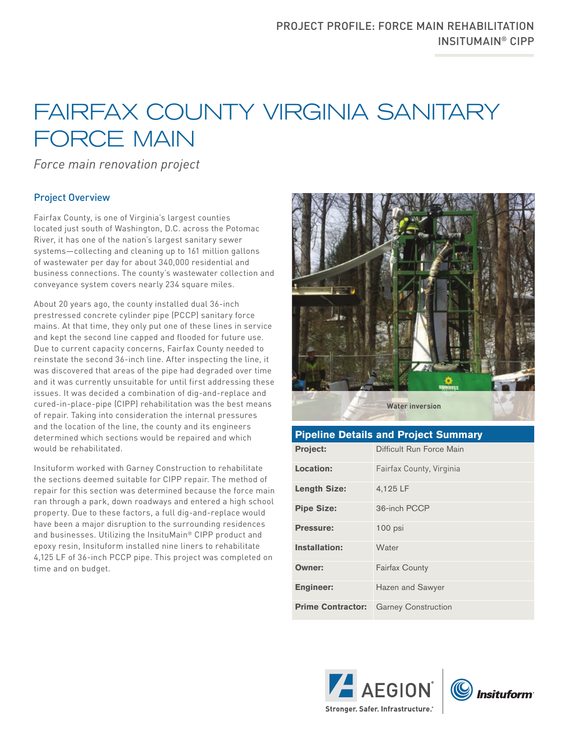## FAIRFAX COUNTY VIRGINIA SANITARY FORCE MAIN

*Force main renovation project* 

## Project Overview

Fairfax County, is one of Virginia's largest counties located just south of Washington, D.C. across the Potomac River, it has one of the nation's largest sanitary sewer systems—collecting and cleaning up to 161 million gallons of wastewater per day for about 340,000 residential and business connections. The county's wastewater collection and conveyance system covers nearly 234 square miles.

About 20 years ago, the county installed dual 36-inch prestressed concrete cylinder pipe (PCCP) sanitary force mains. At that time, they only put one of these lines in service and kept the second line capped and flooded for future use. Due to current capacity concerns, Fairfax County needed to reinstate the second 36-inch line. After inspecting the line, it was discovered that areas of the pipe had degraded over time and it was currently unsuitable for until first addressing these issues. It was decided a combination of dig-and-replace and cured-in-place-pipe (CIPP) rehabilitation was the best means of repair. Taking into consideration the internal pressures and the location of the line, the county and its engineers determined which sections would be repaired and which would be rehabilitated.

Insituform worked with Garney Construction to rehabilitate the sections deemed suitable for CIPP repair. The method of repair for this section was determined because the force main ran through a park, down roadways and entered a high school property. Due to these factors, a full dig-and-replace would have been a major disruption to the surrounding residences and businesses. Utilizing the InsituMain® CIPP product and epoxy resin, Insituform installed nine liners to rehabilitate 4,125 LF of 36-inch PCCP pipe. This project was completed on time and on budget.



| <b>Pipeline Details and Project Summary</b> |                            |
|---------------------------------------------|----------------------------|
| <b>Project:</b>                             | Difficult Run Force Main   |
| Location:                                   | Fairfax County, Virginia   |
| <b>Length Size:</b>                         | 4,125 LF                   |
| <b>Pipe Size:</b>                           | 36-inch PCCP               |
| <b>Pressure:</b>                            | $100$ psi                  |
| Installation:                               | Water                      |
| <b>Owner:</b>                               | <b>Fairfax County</b>      |
| <b>Engineer:</b>                            | Hazen and Sawyer           |
| <b>Prime Contractor:</b>                    | <b>Garney Construction</b> |